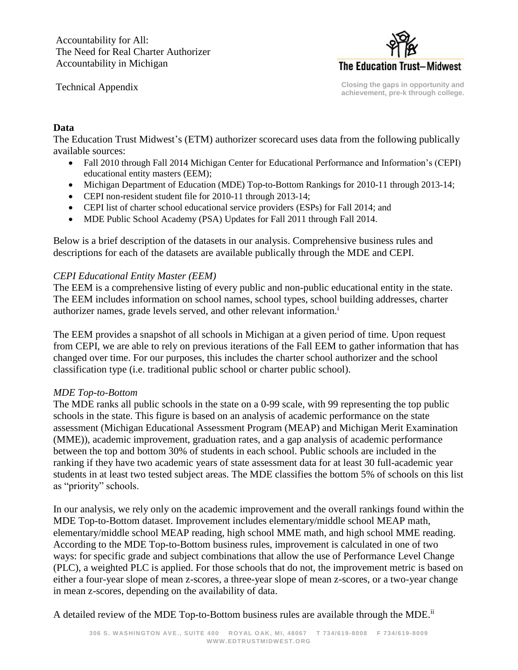Accountability for All: The Need for Real Charter Authorizer Accountability in Michigan

Technical Appendix



**Closing the gaps in opportunity and achievement, pre-k through college.**

### **Data**

The Education Trust Midwest's (ETM) authorizer scorecard uses data from the following publically available sources:

- Fall 2010 through Fall 2014 Michigan Center for Educational Performance and Information's (CEPI) educational entity masters (EEM);
- Michigan Department of Education (MDE) Top-to-Bottom Rankings for 2010-11 through 2013-14;
- CEPI non-resident student file for 2010-11 through 2013-14;
- CEPI list of charter school educational service providers (ESPs) for Fall 2014; and
- MDE Public School Academy (PSA) Updates for Fall 2011 through Fall 2014.

Below is a brief description of the datasets in our analysis. Comprehensive business rules and descriptions for each of the datasets are available publically through the MDE and CEPI.

### *CEPI Educational Entity Master (EEM)*

The EEM is a comprehensive listing of every public and non-public educational entity in the state. The EEM includes information on school names, school types, school building addresses, charter authorizer names, grade levels served, and other relevant information.<sup>i</sup>

The EEM provides a snapshot of all schools in Michigan at a given period of time. Upon request from CEPI, we are able to rely on previous iterations of the Fall EEM to gather information that has changed over time. For our purposes, this includes the charter school authorizer and the school classification type (i.e. traditional public school or charter public school).

### *MDE Top-to-Bottom*

The MDE ranks all public schools in the state on a 0-99 scale, with 99 representing the top public schools in the state. This figure is based on an analysis of academic performance on the state assessment (Michigan Educational Assessment Program (MEAP) and Michigan Merit Examination (MME)), academic improvement, graduation rates, and a gap analysis of academic performance between the top and bottom 30% of students in each school. Public schools are included in the ranking if they have two academic years of state assessment data for at least 30 full-academic year students in at least two tested subject areas. The MDE classifies the bottom 5% of schools on this list as "priority" schools.

In our analysis, we rely only on the academic improvement and the overall rankings found within the MDE Top-to-Bottom dataset. Improvement includes elementary/middle school MEAP math, elementary/middle school MEAP reading, high school MME math, and high school MME reading. According to the MDE Top-to-Bottom business rules, improvement is calculated in one of two ways: for specific grade and subject combinations that allow the use of Performance Level Change (PLC), a weighted PLC is applied. For those schools that do not, the improvement metric is based on either a four-year slope of mean z-scores, a three-year slope of mean z-scores, or a two-year change in mean z-scores, depending on the availability of data.

A detailed review of the MDE Top-to-Bottom business rules are available through the MDE.<sup>ii</sup>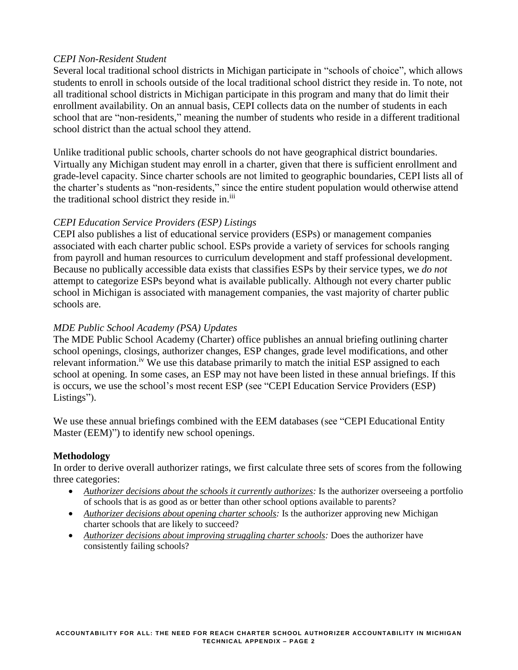### *CEPI Non-Resident Student*

Several local traditional school districts in Michigan participate in "schools of choice", which allows students to enroll in schools outside of the local traditional school district they reside in. To note, not all traditional school districts in Michigan participate in this program and many that do limit their enrollment availability. On an annual basis, CEPI collects data on the number of students in each school that are "non-residents," meaning the number of students who reside in a different traditional school district than the actual school they attend.

Unlike traditional public schools, charter schools do not have geographical district boundaries. Virtually any Michigan student may enroll in a charter, given that there is sufficient enrollment and grade-level capacity. Since charter schools are not limited to geographic boundaries, CEPI lists all of the charter's students as "non-residents," since the entire student population would otherwise attend the traditional school district they reside in.<sup>iii</sup>

## *CEPI Education Service Providers (ESP) Listings*

CEPI also publishes a list of educational service providers (ESPs) or management companies associated with each charter public school. ESPs provide a variety of services for schools ranging from payroll and human resources to curriculum development and staff professional development. Because no publically accessible data exists that classifies ESPs by their service types, we *do not* attempt to categorize ESPs beyond what is available publically. Although not every charter public school in Michigan is associated with management companies, the vast majority of charter public schools are.

## *MDE Public School Academy (PSA) Updates*

The MDE Public School Academy (Charter) office publishes an annual briefing outlining charter school openings, closings, authorizer changes, ESP changes, grade level modifications, and other relevant information.<sup>iv</sup> We use this database primarily to match the initial ESP assigned to each school at opening. In some cases, an ESP may not have been listed in these annual briefings. If this is occurs, we use the school's most recent ESP (see "CEPI Education Service Providers (ESP) Listings").

We use these annual briefings combined with the EEM databases (see "CEPI Educational Entity Master (EEM)") to identify new school openings.

### **Methodology**

In order to derive overall authorizer ratings, we first calculate three sets of scores from the following three categories:

- *Authorizer decisions about the schools it currently authorizes:* Is the authorizer overseeing a portfolio of schools that is as good as or better than other school options available to parents?
- *Authorizer decisions about opening charter schools:* Is the authorizer approving new Michigan charter schools that are likely to succeed?
- *Authorizer decisions about improving struggling charter schools:* Does the authorizer have consistently failing schools?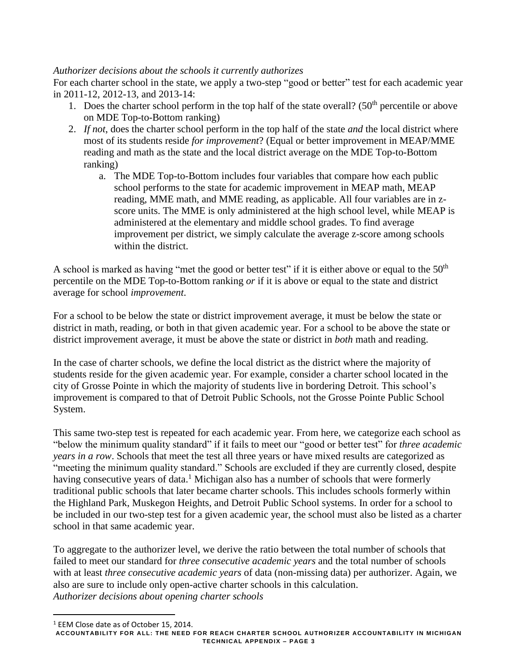# *Authorizer decisions about the schools it currently authorizes*

For each charter school in the state, we apply a two-step "good or better" test for each academic year in 2011-12, 2012-13, and 2013-14:

- 1. Does the charter school perform in the top half of the state overall? ( $50<sup>th</sup>$  percentile or above on MDE Top-to-Bottom ranking)
- 2. *If not*, does the charter school perform in the top half of the state *and* the local district where most of its students reside *for improvement*? (Equal or better improvement in MEAP/MME reading and math as the state and the local district average on the MDE Top-to-Bottom ranking)
	- a. The MDE Top-to-Bottom includes four variables that compare how each public school performs to the state for academic improvement in MEAP math, MEAP reading, MME math, and MME reading, as applicable. All four variables are in zscore units. The MME is only administered at the high school level, while MEAP is administered at the elementary and middle school grades. To find average improvement per district, we simply calculate the average z-score among schools within the district.

A school is marked as having "met the good or better test" if it is either above or equal to the  $50<sup>th</sup>$ percentile on the MDE Top-to-Bottom ranking *or* if it is above or equal to the state and district average for school *improvement*.

For a school to be below the state or district improvement average, it must be below the state or district in math, reading, or both in that given academic year. For a school to be above the state or district improvement average, it must be above the state or district in *both* math and reading.

In the case of charter schools, we define the local district as the district where the majority of students reside for the given academic year. For example, consider a charter school located in the city of Grosse Pointe in which the majority of students live in bordering Detroit. This school's improvement is compared to that of Detroit Public Schools, not the Grosse Pointe Public School System.

This same two-step test is repeated for each academic year. From here, we categorize each school as "below the minimum quality standard" if it fails to meet our "good or better test" for *three academic years in a row*. Schools that meet the test all three years or have mixed results are categorized as "meeting the minimum quality standard." Schools are excluded if they are currently closed, despite having consecutive years of data.<sup>1</sup> Michigan also has a number of schools that were formerly traditional public schools that later became charter schools. This includes schools formerly within the Highland Park, Muskegon Heights, and Detroit Public School systems. In order for a school to be included in our two-step test for a given academic year, the school must also be listed as a charter school in that same academic year.

To aggregate to the authorizer level, we derive the ratio between the total number of schools that failed to meet our standard for *three consecutive academic years* and the total number of schools with at least *three consecutive academic years* of data (non-missing data) per authorizer. Again, we also are sure to include only open-active charter schools in this calculation. *Authorizer decisions about opening charter schools*

 $\overline{a}$ 

<sup>&</sup>lt;sup>1</sup> EEM Close date as of October 15, 2014.

**ACCOUNTABILITY FOR ALL: THE NEED FOR REACH CHARTER SCHOOL AUTHORIZER ACCOUNTABILITY IN MICHIGAN TECHNICAL APPENDIX – PAGE 3**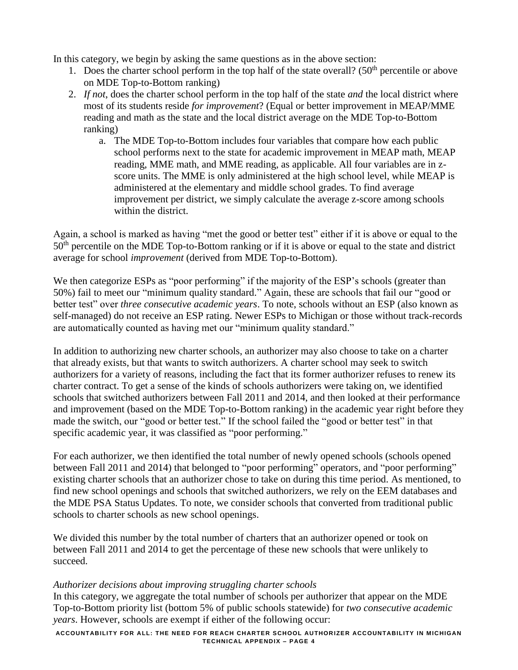In this category, we begin by asking the same questions as in the above section:

- 1. Does the charter school perform in the top half of the state overall?  $(50<sup>th</sup>$  percentile or above on MDE Top-to-Bottom ranking)
- 2. *If not*, does the charter school perform in the top half of the state *and* the local district where most of its students reside *for improvement*? (Equal or better improvement in MEAP/MME reading and math as the state and the local district average on the MDE Top-to-Bottom ranking)
	- a. The MDE Top-to-Bottom includes four variables that compare how each public school performs next to the state for academic improvement in MEAP math, MEAP reading, MME math, and MME reading, as applicable. All four variables are in zscore units. The MME is only administered at the high school level, while MEAP is administered at the elementary and middle school grades. To find average improvement per district, we simply calculate the average z-score among schools within the district.

Again, a school is marked as having "met the good or better test" either if it is above or equal to the 50<sup>th</sup> percentile on the MDE Top-to-Bottom ranking or if it is above or equal to the state and district average for school *improvement* (derived from MDE Top-to-Bottom).

We then categorize ESPs as "poor performing" if the majority of the ESP's schools (greater than 50%) fail to meet our "minimum quality standard." Again, these are schools that fail our "good or better test" over *three consecutive academic years*. To note, schools without an ESP (also known as self-managed) do not receive an ESP rating. Newer ESPs to Michigan or those without track-records are automatically counted as having met our "minimum quality standard."

In addition to authorizing new charter schools, an authorizer may also choose to take on a charter that already exists, but that wants to switch authorizers. A charter school may seek to switch authorizers for a variety of reasons, including the fact that its former authorizer refuses to renew its charter contract. To get a sense of the kinds of schools authorizers were taking on, we identified schools that switched authorizers between Fall 2011 and 2014, and then looked at their performance and improvement (based on the MDE Top-to-Bottom ranking) in the academic year right before they made the switch, our "good or better test." If the school failed the "good or better test" in that specific academic year, it was classified as "poor performing."

For each authorizer, we then identified the total number of newly opened schools (schools opened between Fall 2011 and 2014) that belonged to "poor performing" operators, and "poor performing" existing charter schools that an authorizer chose to take on during this time period. As mentioned, to find new school openings and schools that switched authorizers, we rely on the EEM databases and the MDE PSA Status Updates. To note, we consider schools that converted from traditional public schools to charter schools as new school openings.

We divided this number by the total number of charters that an authorizer opened or took on between Fall 2011 and 2014 to get the percentage of these new schools that were unlikely to succeed.

### *Authorizer decisions about improving struggling charter schools*

In this category, we aggregate the total number of schools per authorizer that appear on the MDE Top-to-Bottom priority list (bottom 5% of public schools statewide) for *two consecutive academic years*. However, schools are exempt if either of the following occur:

**ACCOUNTABILITY FOR ALL: THE NEED FOR REACH CHARTER SCHOOL AUTHORIZER ACCOUNTABILITY IN MICHIGAN TECHNICAL APPENDIX – PAGE 4**